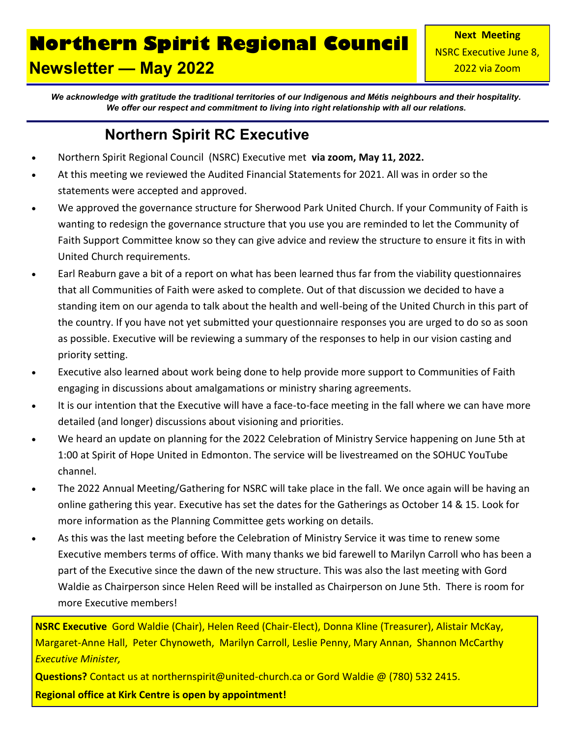## **Northern Spirit Regional Council Newsletter — May 2022**

*We acknowledge with gratitude the traditional territories of our Indigenous and Métis neighbours and their hospitality. We offer our respect and commitment to living into right relationship with all our relations.*

#### **Northern Spirit RC Executive**

- Northern Spirit Regional Council (NSRC) Executive met **via zoom, May 11, 2022.**
- At this meeting we reviewed the Audited Financial Statements for 2021. All was in order so the statements were accepted and approved.
- We approved the governance structure for Sherwood Park United Church. If your Community of Faith is wanting to redesign the governance structure that you use you are reminded to let the Community of Faith Support Committee know so they can give advice and review the structure to ensure it fits in with United Church requirements.
- Earl Reaburn gave a bit of a report on what has been learned thus far from the viability questionnaires that all Communities of Faith were asked to complete. Out of that discussion we decided to have a standing item on our agenda to talk about the health and well-being of the United Church in this part of the country. If you have not yet submitted your questionnaire responses you are urged to do so as soon as possible. Executive will be reviewing a summary of the responses to help in our vision casting and priority setting.
- Executive also learned about work being done to help provide more support to Communities of Faith engaging in discussions about amalgamations or ministry sharing agreements.
- It is our intention that the Executive will have a face-to-face meeting in the fall where we can have more detailed (and longer) discussions about visioning and priorities.
- We heard an update on planning for the 2022 Celebration of Ministry Service happening on June 5th at 1:00 at Spirit of Hope United in Edmonton. The service will be livestreamed on the SOHUC YouTube channel.
- The 2022 Annual Meeting/Gathering for NSRC will take place in the fall. We once again will be having an online gathering this year. Executive has set the dates for the Gatherings as October 14 & 15. Look for more information as the Planning Committee gets working on details.
- As this was the last meeting before the Celebration of Ministry Service it was time to renew some Executive members terms of office. With many thanks we bid farewell to Marilyn Carroll who has been a part of the Executive since the dawn of the new structure. This was also the last meeting with Gord Waldie as Chairperson since Helen Reed will be installed as Chairperson on June 5th. There is room for more Executive members!

**NSRC Executive** Gord Waldie (Chair), Helen Reed (Chair-Elect), Donna Kline (Treasurer), Alistair McKay, Margaret-Anne Hall, Peter Chynoweth, Marilyn Carroll, Leslie Penny, Mary Annan, Shannon McCarthy *Executive Minister,*

**Questions?** Contact us at northernspirit@united-church.ca or Gord Waldie @ (780) 532 2415.

**Regional office at Kirk Centre is open by appointment!**